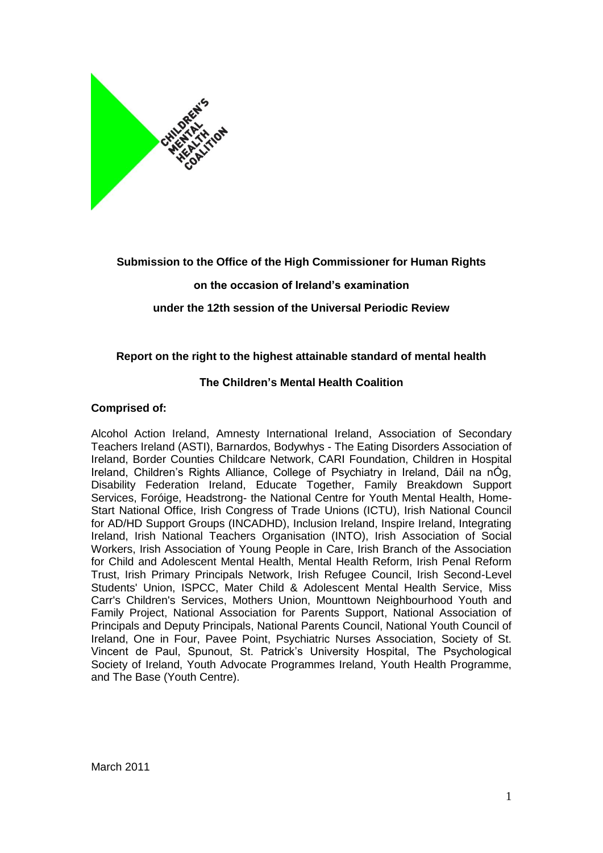

**Submission to the Office of the High Commissioner for Human Rights**

**on the occasion of Ireland's examination**

**under the 12th session of the Universal Periodic Review**

### **Report on the right to the highest attainable standard of mental health**

### **The Children's Mental Health Coalition**

### **Comprised of:**

Alcohol Action Ireland, Amnesty International Ireland, Association of Secondary Teachers Ireland (ASTI), Barnardos, Bodywhys - The Eating Disorders Association of Ireland, Border Counties Childcare Network, CARI Foundation, Children in Hospital Ireland, Children's Rights Alliance, College of Psychiatry in Ireland, Dáil na nÓg, Disability Federation Ireland, Educate Together, Family Breakdown Support Services, Foróige, Headstrong- the National Centre for Youth Mental Health, Home-Start National Office, Irish Congress of Trade Unions (ICTU), Irish National Council for AD/HD Support Groups (INCADHD), Inclusion Ireland, Inspire Ireland, Integrating Ireland, Irish National Teachers Organisation (INTO), Irish Association of Social Workers, Irish Association of Young People in Care, Irish Branch of the Association for Child and Adolescent Mental Health, Mental Health Reform, Irish Penal Reform Trust, Irish Primary Principals Network, Irish Refugee Council, Irish Second-Level Students' Union, ISPCC, Mater Child & Adolescent Mental Health Service, Miss Carr's Children's Services, Mothers Union, Mounttown Neighbourhood Youth and Family Project, National Association for Parents Support, National Association of Principals and Deputy Principals, National Parents Council, National Youth Council of Ireland, One in Four, Pavee Point, Psychiatric Nurses Association, Society of St. Vincent de Paul, Spunout, St. Patrick's University Hospital, The Psychological Society of Ireland, Youth Advocate Programmes Ireland, Youth Health Programme, and The Base (Youth Centre).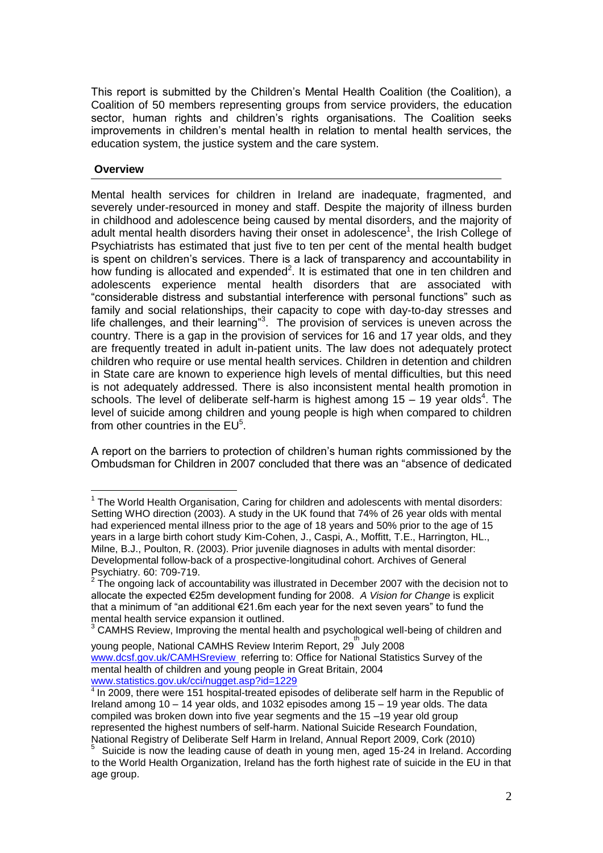This report is submitted by the Children's Mental Health Coalition (the Coalition), a Coalition of 50 members representing groups from service providers, the education sector, human rights and children's rights organisations. The Coalition seeks improvements in children's mental health in relation to mental health services, the education system, the justice system and the care system.

# **Overview**

<u>.</u>

Mental health services for children in Ireland are inadequate, fragmented, and severely under-resourced in money and staff. Despite the majority of illness burden in childhood and adolescence being caused by mental disorders, and the majority of adult mental health disorders having their onset in adolescence<sup>1</sup>, the Irish College of Psychiatrists has estimated that just five to ten per cent of the mental health budget is spent on children's services. There is a lack of transparency and accountability in how funding is allocated and expended<sup>2</sup>. It is estimated that one in ten children and adolescents experience mental health disorders that are associated with "considerable distress and substantial interference with personal functions" such as family and social relationships, their capacity to cope with day-to-day stresses and life challenges, and their learning<sup>3</sup>. The provision of services is uneven across the country. There is a gap in the provision of services for 16 and 17 year olds, and they are frequently treated in adult in-patient units. The law does not adequately protect children who require or use mental health services. Children in detention and children in State care are known to experience high levels of mental difficulties, but this need is not adequately addressed. There is also inconsistent mental health promotion in schools. The level of deliberate self-harm is highest among  $15 - 19$  year olds<sup>4</sup>. The level of suicide among children and young people is high when compared to children from other countries in the  $EU<sup>5</sup>$ .

A report on the barriers to protection of children's human rights commissioned by the Ombudsman for Children in 2007 concluded that there was an "absence of dedicated

 $1$  The World Health Organisation, Caring for children and adolescents with mental disorders: Setting WHO direction (2003)*.* A study in the UK found that 74% of 26 year olds with mental had experienced mental illness prior to the age of 18 years and 50% prior to the age of 15 years in a large birth cohort study. Kim-Cohen, J., Caspi, A., Moffitt, T.E., Harrington, HL., Milne, B.J., Poulton, R. (2003). Prior juvenile diagnoses in adults with mental disorder: Developmental follow-back of a prospective-longitudinal cohort. Archives of General Psychiatry. 60: 709-719.

 $2$  The ongoing lack of accountability was illustrated in December 2007 with the decision not to allocate the expected €25m development funding for 2008. *A Vision for Change* is explicit that a minimum of "an additional €21.6m each year for the next seven years" to fund the mental health service expansion it outlined.

<sup>&</sup>lt;sup>3</sup> CAMHS Review, Improving the mental health and psychological well-being of children and

young people, National CAMHS Review Interim Report, 29 July 2008 www.dcsf.gov.uk/CAMHSreview referring to: Office for National Statistics Survey of the mental health of children and young people in Great Britain, 2004 www.statistics.gov.uk/cci/nugget.asp?id=1229

<sup>&</sup>lt;sup>4</sup> In 2009, there were 151 hospital-treated episodes of deliberate self harm in the Republic of Ireland among 10 – 14 year olds, and 1032 episodes among 15 – 19 year olds. The data compiled was broken down into five year segments and the 15 –19 year old group represented the highest numbers of self-harm. National Suicide Research Foundation, National Registry of Deliberate Self Harm in Ireland, Annual Report 2009, Cork (2010)

<sup>&</sup>lt;sup>5</sup> Suicide is now the leading cause of death in young men, aged 15-24 in Ireland. According to the World Health Organization, Ireland has the forth highest rate of suicide in the EU in that age group.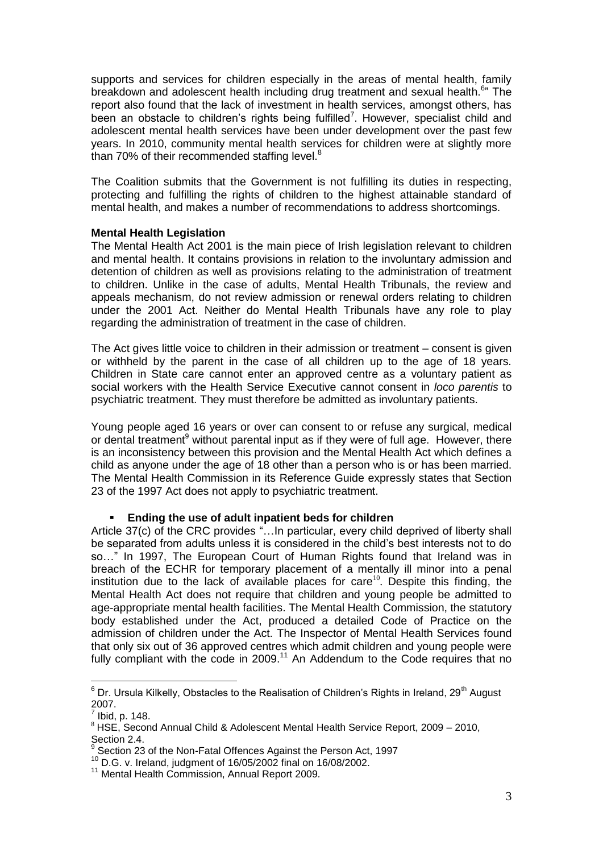supports and services for children especially in the areas of mental health, family breakdown and adolescent health including drug treatment and sexual health.<sup>6</sup>" The report also found that the lack of investment in health services, amongst others, has been an obstacle to children's rights being fulfilled<sup>7</sup>. However, specialist child and adolescent mental health services have been under development over the past few years. In 2010, community mental health services for children were at slightly more than 70% of their recommended staffing level. $8$ 

The Coalition submits that the Government is not fulfilling its duties in respecting, protecting and fulfilling the rights of children to the highest attainable standard of mental health, and makes a number of recommendations to address shortcomings.

### **Mental Health Legislation**

The Mental Health Act 2001 is the main piece of Irish legislation relevant to children and mental health. It contains provisions in relation to the involuntary admission and detention of children as well as provisions relating to the administration of treatment to children. Unlike in the case of adults, Mental Health Tribunals, the review and appeals mechanism, do not review admission or renewal orders relating to children under the 2001 Act. Neither do Mental Health Tribunals have any role to play regarding the administration of treatment in the case of children.

The Act gives little voice to children in their admission or treatment – consent is given or withheld by the parent in the case of all children up to the age of 18 years. Children in State care cannot enter an approved centre as a voluntary patient as social workers with the Health Service Executive cannot consent in *loco parentis* to psychiatric treatment. They must therefore be admitted as involuntary patients.

Young people aged 16 years or over can consent to or refuse any surgical, medical or dental treatment<sup>9</sup> without parental input as if they were of full age. However, there is an inconsistency between this provision and the Mental Health Act which defines a child as anyone under the age of 18 other than a person who is or has been married. The Mental Health Commission in its Reference Guide expressly states that Section 23 of the 1997 Act does not apply to psychiatric treatment.

# **Ending the use of adult inpatient beds for children**

Article 37(c) of the CRC provides "…In particular, every child deprived of liberty shall be separated from adults unless it is considered in the child's best interests not to do so…" In 1997, The European Court of Human Rights found that Ireland was in breach of the ECHR for temporary placement of a mentally ill minor into a penal institution due to the lack of available places for care $^{10}$ . Despite this finding, the Mental Health Act does not require that children and young people be admitted to age-appropriate mental health facilities. The Mental Health Commission, the statutory body established under the Act, produced a detailed Code of Practice on the admission of children under the Act. The Inspector of Mental Health Services found that only six out of 36 approved centres which admit children and young people were fully compliant with the code in 2009.<sup>11</sup> An Addendum to the Code requires that no

1

 $6$  Dr. Ursula Kilkelly, Obstacles to the Realisation of Children's Rights in Ireland, 29<sup>th</sup> August 2007.

 $<sup>7</sup>$  Ibid, p. 148.</sup>

<sup>&</sup>lt;sup>8</sup> HSE, Second Annual Child & Adolescent Mental Health Service Report, 2009 – 2010, Section 2.4.

<sup>&</sup>lt;sup>9</sup> Section 23 of the Non-Fatal Offences Against the Person Act, 1997

<sup>10</sup> D.G. v. Ireland, judgment of 16/05/2002 final on 16/08/2002.

<sup>11</sup> Mental Health Commission, Annual Report 2009*.*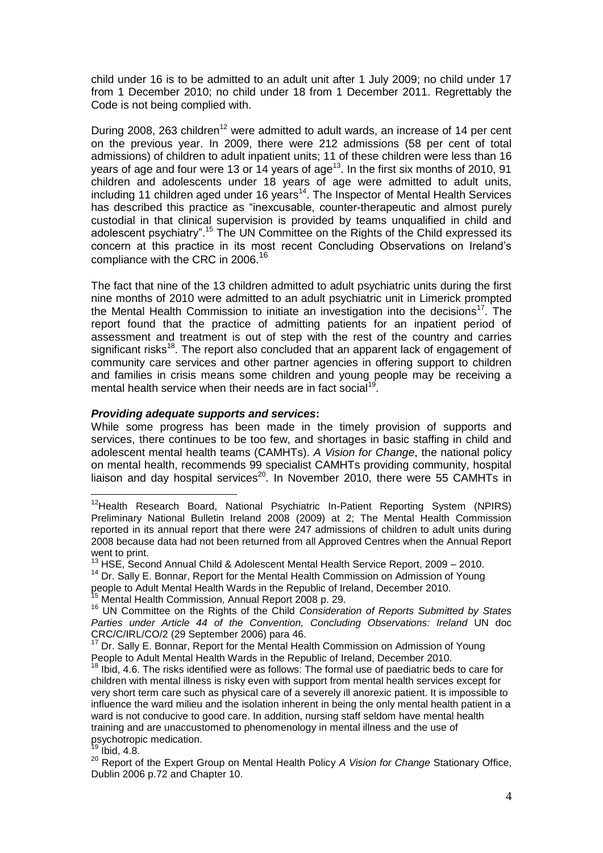child under 16 is to be admitted to an adult unit after 1 July 2009; no child under 17 from 1 December 2010; no child under 18 from 1 December 2011. Regrettably the Code is not being complied with.

During 2008, 263 children<sup>12</sup> were admitted to adult wards, an increase of 14 per cent on the previous year. In 2009, there were 212 admissions (58 per cent of total admissions) of children to adult inpatient units; 11 of these children were less than 16 years of age and four were 13 or 14 years of age<sup>13</sup>. In the first six months of 2010, 91 children and adolescents under 18 years of age were admitted to adult units, including 11 children aged under 16 years<sup>14</sup>. The Inspector of Mental Health Services has described this practice as "inexcusable, counter-therapeutic and almost purely custodial in that clinical supervision is provided by teams unqualified in child and adolescent psychiatry".<sup>15</sup> The UN Committee on the Rights of the Child expressed its concern at this practice in its most recent Concluding Observations on Ireland's compliance with the CRC in 2006.<sup>16</sup>

The fact that nine of the 13 children admitted to adult psychiatric units during the first nine months of 2010 were admitted to an adult psychiatric unit in Limerick prompted the Mental Health Commission to initiate an investigation into the decisions<sup>17</sup>. The report found that the practice of admitting patients for an inpatient period of assessment and treatment is out of step with the rest of the country and carries significant risks<sup>18</sup>. The report also concluded that an apparent lack of engagement of community care services and other partner agencies in offering support to children and families in crisis means some children and young people may be receiving a mental health service when their needs are in fact social<sup>19</sup>.

### *Providing adequate supports and services***:**

While some progress has been made in the timely provision of supports and services, there continues to be too few, and shortages in basic staffing in child and adolescent mental health teams (CAMHTs). *A Vision for Change*, the national policy on mental health, recommends 99 specialist CAMHTs providing community, hospital liaison and day hospital services<sup>20</sup>. In November 2010, there were 55 CAMHTs in

<sup>14</sup> Dr. Sally E. Bonnar, Report for the Mental Health Commission on Admission of Young people to Adult Mental Health Wards in the Republic of Ireland, December 2010.

<sup>15</sup> Mental Health Commission, Annual Report 2008 p. 29.

 $19$  Ibid, 4.8.

<u>.</u>

<sup>&</sup>lt;sup>12</sup>Health Research Board, National Psychiatric In-Patient Reporting System (NPIRS) Preliminary National Bulletin Ireland 2008 (2009) at 2; The Mental Health Commission reported in its annual report that there were 247 admissions of children to adult units during 2008 because data had not been returned from all Approved Centres when the Annual Report went to print.

<sup>13</sup> HSE, Second Annual Child & Adolescent Mental Health Service Report, 2009 – 2010.

<sup>16</sup> UN Committee on the Rights of the Child *Consideration of Reports Submitted by States Parties under Article 44 of the Convention, Concluding Observations: Ireland* UN doc CRC/C/IRL/CO/2 (29 September 2006) para 46.

 $17$  Dr. Sally E. Bonnar, Report for the Mental Health Commission on Admission of Young People to Adult Mental Health Wards in the Republic of Ireland, December 2010.

<sup>18</sup> Ibid, 4.6. The risks identified were as follows: The formal use of paediatric beds to care for children with mental illness is risky even with support from mental health services except for very short term care such as physical care of a severely ill anorexic patient. It is impossible to influence the ward milieu and the isolation inherent in being the only mental health patient in a ward is not conducive to good care. In addition, nursing staff seldom have mental health training and are unaccustomed to phenomenology in mental illness and the use of psychotropic medication.

<sup>20</sup> Report of the Expert Group on Mental Health Policy *A Vision for Change* Stationary Office, Dublin 2006 p.72 and Chapter 10.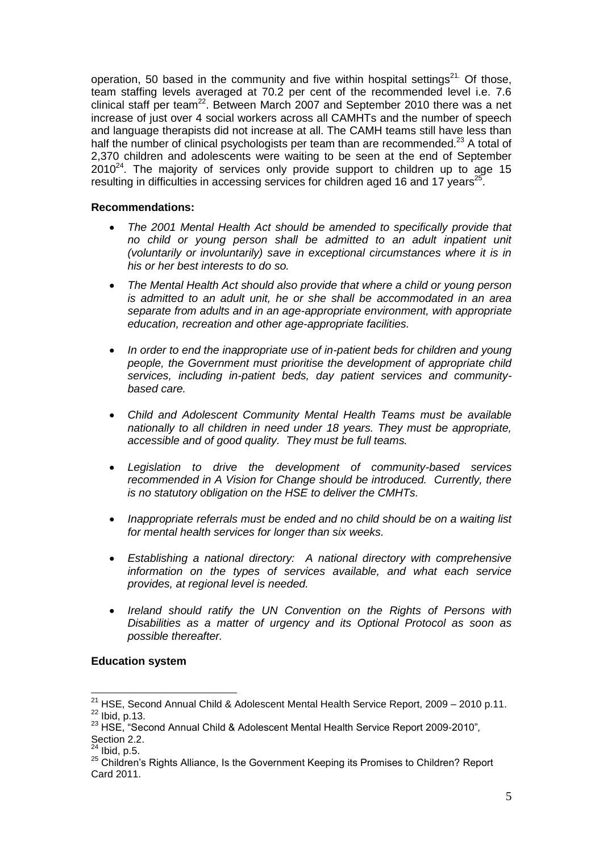operation, 50 based in the community and five within hospital settings<sup>21.</sup> Of those, team staffing levels averaged at 70.2 per cent of the recommended level i.e. 7.6 clinical staff per team<sup>22</sup>. Between March 2007 and September 2010 there was a net increase of just over 4 social workers across all CAMHTs and the number of speech and language therapists did not increase at all. The CAMH teams still have less than half the number of clinical psychologists per team than are recommended.<sup>23</sup> A total of 2,370 children and adolescents were waiting to be seen at the end of September  $2010^{24}$ . The majority of services only provide support to children up to age 15 resulting in difficulties in accessing services for children aged 16 and 17 years<sup>25</sup>.

# **Recommendations:**

- *The 2001 Mental Health Act should be amended to specifically provide that no child or young person shall be admitted to an adult inpatient unit (voluntarily or involuntarily) save in exceptional circumstances where it is in his or her best interests to do so.*
- *The Mental Health Act should also provide that where a child or young person is admitted to an adult unit, he or she shall be accommodated in an area separate from adults and in an age-appropriate environment, with appropriate education, recreation and other age-appropriate facilities.*
- *In order to end the inappropriate use of in-patient beds for children and young people, the Government must prioritise the development of appropriate child services, including in-patient beds, day patient services and communitybased care.*
- *Child and Adolescent Community Mental Health Teams must be available nationally to all children in need under 18 years. They must be appropriate, accessible and of good quality. They must be full teams.*
- *Legislation to drive the development of community-based services recommended in A Vision for Change should be introduced. Currently, there is no statutory obligation on the HSE to deliver the CMHTs.*
- *Inappropriate referrals must be ended and no child should be on a waiting list for mental health services for longer than six weeks.*
- *Establishing a national directory: A national directory with comprehensive information on the types of services available, and what each service provides, at regional level is needed.*
- *Ireland should ratify the UN Convention on the Rights of Persons with Disabilities as a matter of urgency and its Optional Protocol as soon as possible thereafter.*

# **Education system**

1

 $^{21}$  HSE, Second Annual Child & Adolescent Mental Health Service Report, 2009 – 2010 p.11.  $22$  Ibid, p.13.

<sup>23</sup> HSE, "Second Annual Child & Adolescent Mental Health Service Report 2009-2010"*,*  Section 2.2.

 $^{24}$  Ibid, p.5.

<sup>25</sup> Children's Rights Alliance, Is the Government Keeping its Promises to Children? Report Card 2011.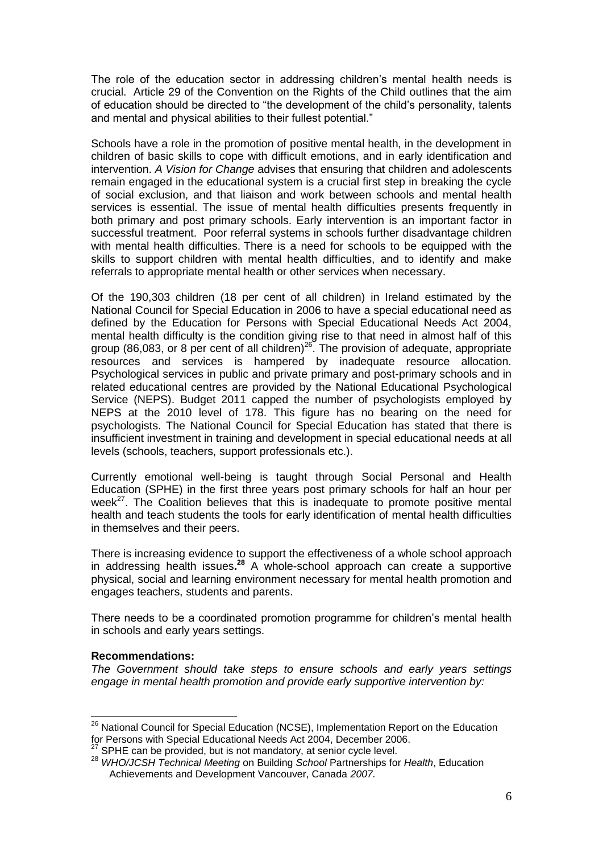The role of the education sector in addressing children's mental health needs is crucial. Article 29 of the Convention on the Rights of the Child outlines that the aim of education should be directed to "the development of the child's personality, talents and mental and physical abilities to their fullest potential."

Schools have a role in the promotion of positive mental health, in the development in children of basic skills to cope with difficult emotions, and in early identification and intervention. *A Vision for Change* advises that ensuring that children and adolescents remain engaged in the educational system is a crucial first step in breaking the cycle of social exclusion, and that liaison and work between schools and mental health services is essential. The issue of mental health difficulties presents frequently in both primary and post primary schools. Early intervention is an important factor in successful treatment. Poor referral systems in schools further disadvantage children with mental health difficulties. There is a need for schools to be equipped with the skills to support children with mental health difficulties, and to identify and make referrals to appropriate mental health or other services when necessary.

Of the 190,303 children (18 per cent of all children) in Ireland estimated by the National Council for Special Education in 2006 to have a special educational need as defined by the Education for Persons with Special Educational Needs Act 2004, mental health difficulty is the condition giving rise to that need in almost half of this group (86,083, or 8 per cent of all children)<sup>26</sup>. The provision of adequate, appropriate resources and services is hampered by inadequate resource allocation. Psychological services in public and private primary and post-primary schools and in related educational centres are provided by the National Educational Psychological Service (NEPS). Budget 2011 capped the number of psychologists employed by NEPS at the 2010 level of 178. This figure has no bearing on the need for psychologists. The National Council for Special Education has stated that there is insufficient investment in training and development in special educational needs at all levels (schools, teachers, support professionals etc.).

Currently emotional well-being is taught through Social Personal and Health Education (SPHE) in the first three years post primary schools for half an hour per week $^{27}$ . The Coalition believes that this is inadequate to promote positive mental health and teach students the tools for early identification of mental health difficulties in themselves and their peers.

There is increasing evidence to support the effectiveness of a whole school approach in addressing health issues**. <sup>28</sup>** A whole-school approach can create a supportive physical, social and learning environment necessary for mental health promotion and engages teachers, students and parents.

There needs to be a coordinated promotion programme for children's mental health in schools and early years settings.

# **Recommendations:**

<u>.</u>

*The Government should take steps to ensure schools and early years settings engage in mental health promotion and provide early supportive intervention by:* 

<sup>&</sup>lt;sup>26</sup> National Council for Special Education (NCSE), Implementation Report on the Education for Persons with Special Educational Needs Act 2004, December 2006.

 $27$  SPHE can be provided, but is not mandatory, at senior cycle level.

<sup>28</sup> *WHO/JCSH Technical Meeting* on Building *School* Partnerships for *Health*, Education Achievements and Development Vancouver, Canada *2007.*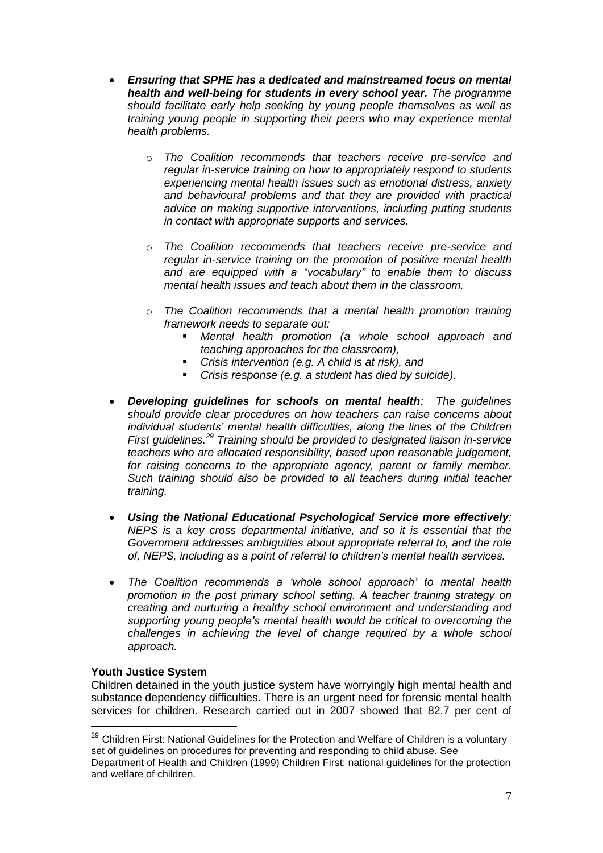- *Ensuring that SPHE has a dedicated and mainstreamed focus on mental health and well-being for students in every school year. The programme should facilitate early help seeking by young people themselves as well as training young people in supporting their peers who may experience mental health problems.*
	- o *The Coalition recommends that teachers receive pre-service and regular in-service training on how to appropriately respond to students experiencing mental health issues such as emotional distress, anxiety and behavioural problems and that they are provided with practical advice on making supportive interventions, including putting students in contact with appropriate supports and services.*
	- o *The Coalition recommends that teachers receive pre-service and regular in-service training on the promotion of positive mental health and are equipped with a "vocabulary" to enable them to discuss mental health issues and teach about them in the classroom.*
	- o *The Coalition recommends that a mental health promotion training framework needs to separate out:*
		- *Mental health promotion (a whole school approach and teaching approaches for the classroom),*
		- *Crisis intervention (e.g. A child is at risk), and*
		- *Crisis response (e.g. a student has died by suicide).*
- *Developing guidelines for schools on mental health: The guidelines should provide clear procedures on how teachers can raise concerns about individual students" mental health difficulties, along the lines of the Children First guidelines.<sup>29</sup> Training should be provided to designated liaison in-service teachers who are allocated responsibility, based upon reasonable judgement, for raising concerns to the appropriate agency, parent or family member. Such training should also be provided to all teachers during initial teacher training.*
- *Using the National Educational Psychological Service more effectively: NEPS is a key cross departmental initiative, and so it is essential that the Government addresses ambiguities about appropriate referral to, and the role of, NEPS, including as a point of referral to children"s mental health services.*
- *The Coalition recommends a "whole school approach" to mental health promotion in the post primary school setting. A teacher training strategy on creating and nurturing a healthy school environment and understanding and supporting young people"s mental health would be critical to overcoming the challenges in achieving the level of change required by a whole school approach.*

# **Youth Justice System**

1

Children detained in the youth justice system have worryingly high mental health and substance dependency difficulties. There is an urgent need for forensic mental health services for children. Research carried out in 2007 showed that 82.7 per cent of

<sup>&</sup>lt;sup>29</sup> Children First: National Guidelines for the Protection and Welfare of Children is a voluntary set of guidelines on procedures for preventing and responding to child abuse. See

Department of Health and Children (1999) Children First: national guidelines for the protection and welfare of children.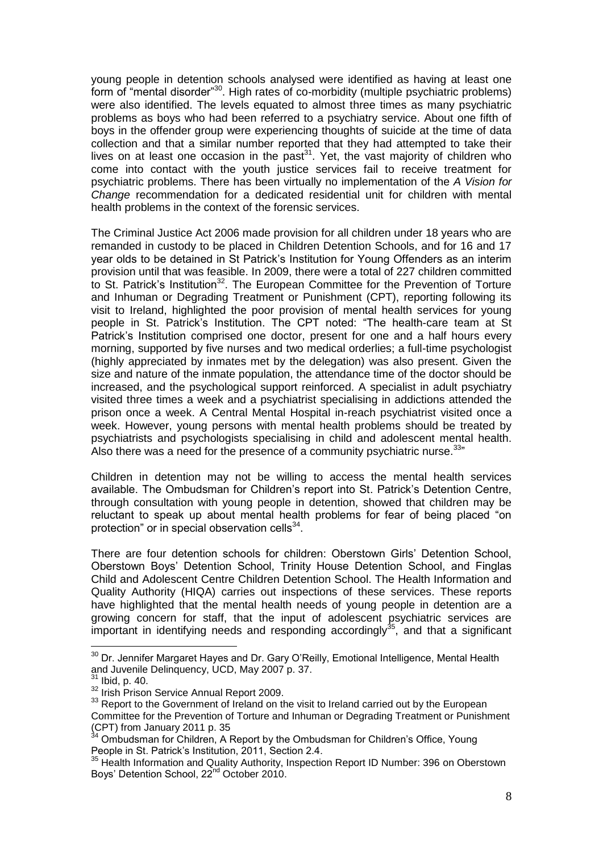young people in detention schools analysed were identified as having at least one form of "mental disorder"<sup>30</sup>. High rates of co-morbidity (multiple psychiatric problems) were also identified. The levels equated to almost three times as many psychiatric problems as boys who had been referred to a psychiatry service. About one fifth of boys in the offender group were experiencing thoughts of suicide at the time of data collection and that a similar number reported that they had attempted to take their lives on at least one occasion in the past<sup>31</sup>. Yet, the vast majority of children who come into contact with the youth justice services fail to receive treatment for psychiatric problems. There has been virtually no implementation of the *A Vision for Change* recommendation for a dedicated residential unit for children with mental health problems in the context of the forensic services.

The Criminal Justice Act 2006 made provision for all children under 18 years who are remanded in custody to be placed in Children Detention Schools, and for 16 and 17 year olds to be detained in St Patrick's Institution for Young Offenders as an interim provision until that was feasible. In 2009, there were a total of 227 children committed to St. Patrick's Institution<sup>32</sup>. The European Committee for the Prevention of Torture and Inhuman or Degrading Treatment or Punishment (CPT), reporting following its visit to Ireland, highlighted the poor provision of mental health services for young people in St. Patrick's Institution. The CPT noted: "The health-care team at St Patrick's Institution comprised one doctor, present for one and a half hours every morning, supported by five nurses and two medical orderlies; a full-time psychologist (highly appreciated by inmates met by the delegation) was also present. Given the size and nature of the inmate population, the attendance time of the doctor should be increased, and the psychological support reinforced. A specialist in adult psychiatry visited three times a week and a psychiatrist specialising in addictions attended the prison once a week. A Central Mental Hospital in-reach psychiatrist visited once a week. However, young persons with mental health problems should be treated by psychiatrists and psychologists specialising in child and adolescent mental health. Also there was a need for the presence of a community psychiatric nurse.  $33$ <sup>33</sup>

Children in detention may not be willing to access the mental health services available. The Ombudsman for Children's report into St. Patrick's Detention Centre, through consultation with young people in detention, showed that children may be reluctant to speak up about mental health problems for fear of being placed "on protection" or in special observation cells<sup>34</sup>.

There are four detention schools for children: Oberstown Girls' Detention School, Oberstown Boys' Detention School, Trinity House Detention School, and Finglas Child and Adolescent Centre Children Detention School. The Health Information and Quality Authority (HIQA) carries out inspections of these services. These reports have highlighted that the mental health needs of young people in detention are a growing concern for staff, that the input of adolescent psychiatric services are  $\frac{1}{2}$  important in identifying needs and responding accordingly<sup>35</sup>, and that a significant

<u>.</u>

<sup>&</sup>lt;sup>30</sup> Dr. Jennifer Margaret Hayes and Dr. Gary O'Reilly, Emotional Intelligence, Mental Health and Juvenile Delinquency, UCD, May 2007 p. 37.

 $31$  Ibid, p. 40.

<sup>&</sup>lt;sup>32</sup> Irish Prison Service Annual Report 2009.

<sup>&</sup>lt;sup>33</sup> Report to the Government of Ireland on the visit to Ireland carried out by the European Committee for the Prevention of Torture and Inhuman or Degrading Treatment or Punishment  $(CPT)$  from January 2011 p. 35

Ombudsman for Children, A Report by the Ombudsman for Children's Office, Young People in St. Patrick's Institution, 2011, Section 2.4.

<sup>&</sup>lt;sup>35</sup> Health Information and Quality Authority, Inspection Report ID Number: 396 on Oberstown Boys' Detention School, 22<sup>nd</sup> October 2010.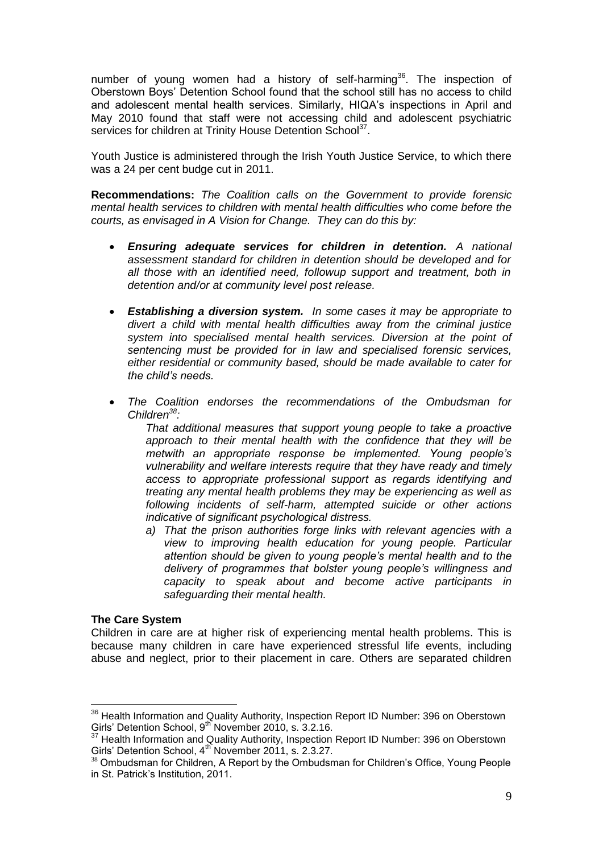number of young women had a history of self-harming<sup>36</sup>. The inspection of Oberstown Boys' Detention School found that the school still has no access to child and adolescent mental health services. Similarly, HIQA's inspections in April and May 2010 found that staff were not accessing child and adolescent psychiatric services for children at Trinity House Detention School<sup>37</sup>.

Youth Justice is administered through the Irish Youth Justice Service, to which there was a 24 per cent budge cut in 2011.

**Recommendations:** *The Coalition calls on the Government to provide forensic mental health services to children with mental health difficulties who come before the courts, as envisaged in A Vision for Change. They can do this by:*

- *Ensuring adequate services for children in detention. A national assessment standard for children in detention should be developed and for all those with an identified need, followup support and treatment, both in detention and/or at community level post release.*
- *Establishing a diversion system. In some cases it may be appropriate to divert a child with mental health difficulties away from the criminal justice system into specialised mental health services. Diversion at the point of sentencing must be provided for in law and specialised forensic services, either residential or community based, should be made available to cater for the child"s needs.*
- *The Coalition endorses the recommendations of the Ombudsman for Children<sup>38</sup>:*

*That additional measures that support young people to take a proactive approach to their mental health with the confidence that they will be metwith an appropriate response be implemented. Young people"s vulnerability and welfare interests require that they have ready and timely access to appropriate professional support as regards identifying and treating any mental health problems they may be experiencing as well as following incidents of self-harm, attempted suicide or other actions indicative of significant psychological distress.*

*a) That the prison authorities forge links with relevant agencies with a view to improving health education for young people. Particular attention should be given to young people"s mental health and to the delivery of programmes that bolster young people"s willingness and capacity to speak about and become active participants in safeguarding their mental health.*

#### **The Care System**

1

Children in care are at higher risk of experiencing mental health problems. This is because many children in care have experienced stressful life events, including abuse and neglect, prior to their placement in care. Others are separated children

<sup>&</sup>lt;sup>36</sup> Health Information and Quality Authority, Inspection Report ID Number: 396 on Oberstown Girls' Detention School, 9<sup>th</sup> November 2010, s. 3.2.16.

<sup>&</sup>lt;sup>37</sup> Health Information and Quality Authority, Inspection Report ID Number: 396 on Oberstown Girls' Detention School, 4<sup>th</sup> November 2011, s. 2.3.27.

 $8$  Ombudsman for Children, A Report by the Ombudsman for Children's Office, Young People in St. Patrick's Institution, 2011.